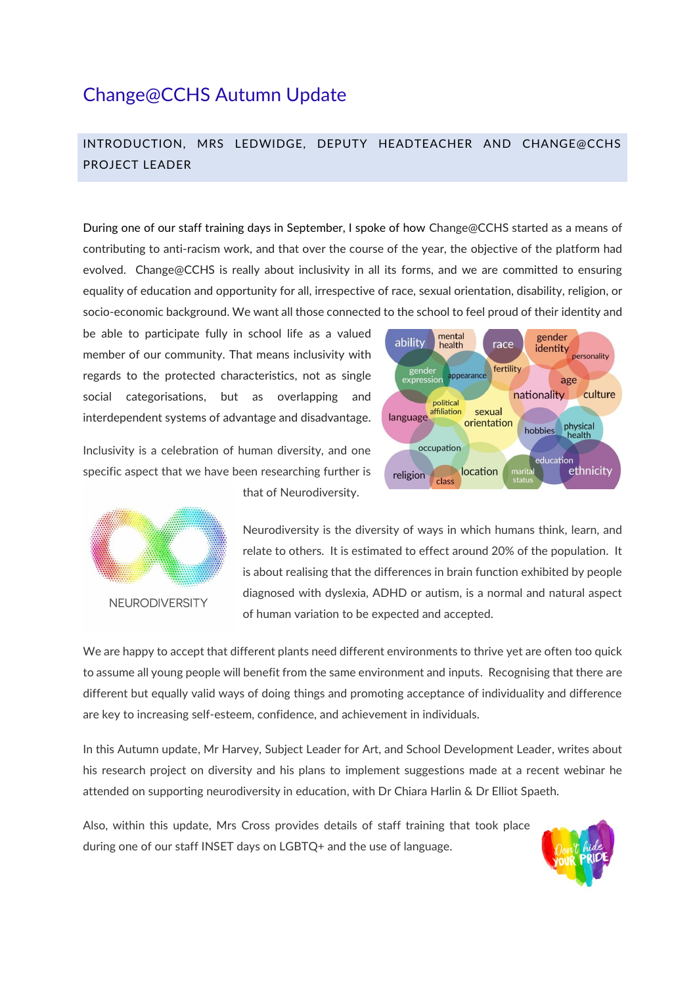# Change@CCHS Autumn Update

## INTRODUCTION, MRS LEDWIDGE, DEPUTY HEADTEACHER AND CHANGE@CCHS PROJECT LEADER

During one of our staff training days in September, I spoke of how Change@CCHS started as a means of contributing to anti-racism work, and that over the course of the year, the objective of the platform had evolved. Change@CCHS is really about inclusivity in all its forms, and we are committed to ensuring equality of education and opportunity for all, irrespective of race, sexual orientation, disability, religion, or socio-economic background. We want all those connected to the school to feel proud of their identity and

be able to participate fully in school life as a valued member of our community. That means inclusivity with regards to the protected characteristics, not as single social categorisations, but as overlapping and interdependent systems of advantage and disadvantage.

Inclusivity is a celebration of human diversity, and one specific aspect that we have been researching further is

that of Neurodiversity.





Neurodiversity is the diversity of ways in which humans think, learn, and relate to others. It is estimated to effect around 20% of the population. It is about realising that the differences in brain function exhibited by people diagnosed with dyslexia, ADHD or autism, is a normal and natural aspect of human variation to be expected and accepted.

We are happy to accept that different plants need different environments to thrive yet are often too quick to assume all young people will benefit from the same environment and inputs. Recognising that there are different but equally valid ways of doing things and promoting acceptance of individuality and difference are key to increasing self-esteem, confidence, and achievement in individuals.

In this Autumn update, Mr Harvey, Subject Leader for Art, and School Development Leader, writes about his research project on diversity and his plans to implement suggestions made at a recent webinar he attended on supporting neurodiversity in education, with Dr Chiara Harlin & Dr Elliot Spaeth.

Also, within this update, Mrs Cross provides details of staff training that took place during one of our staff INSET days on LGBTQ+ and the use of language.

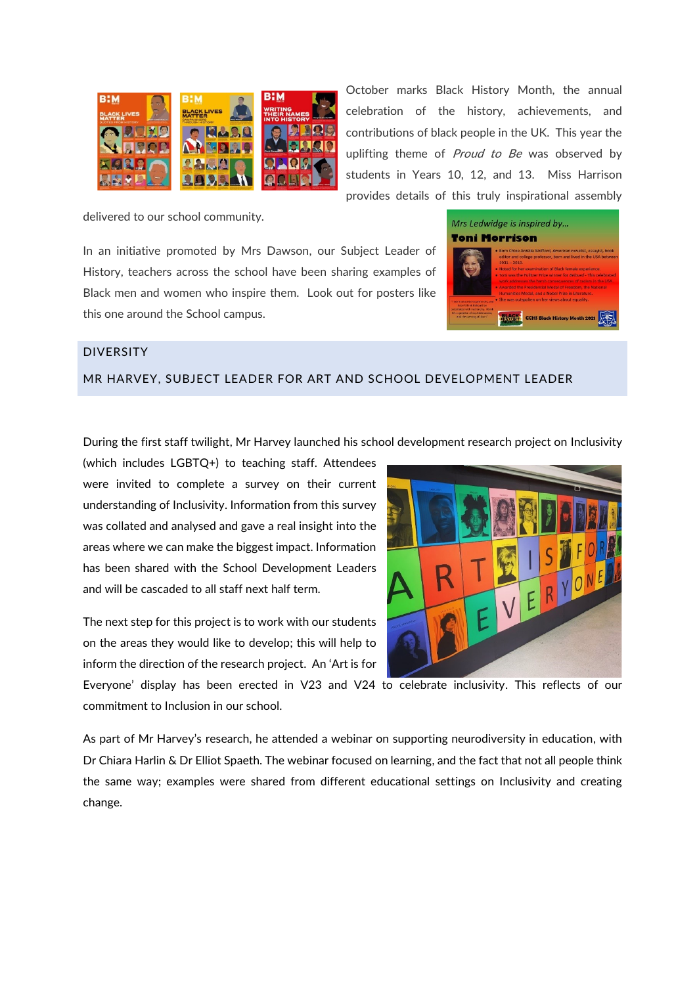

October marks Black History Month, the annual celebration of the history, achievements, and contributions of black people in the UK. This year the uplifting theme of *Proud to Be* was observed by students in Years 10, 12, and 13. Miss Harrison provides details of this truly inspirational assembly

delivered to our school community.

In an initiative promoted by Mrs Dawson, our Subject Leader of History, teachers across the school have been sharing examples of Black men and women who inspire them. Look out for posters like this one around the School campus.

| Mrs Ledwidge is inspired by<br><b>Toni Morrison</b>                                                       |                                                                                                                                                                                                                                                                                                                                                                                                                                                                                                                             |
|-----------------------------------------------------------------------------------------------------------|-----------------------------------------------------------------------------------------------------------------------------------------------------------------------------------------------------------------------------------------------------------------------------------------------------------------------------------------------------------------------------------------------------------------------------------------------------------------------------------------------------------------------------|
| gon't subscribe to patriarchy, and<br>Longit think it should be                                           | · Born Chloe Ardelia Wofford, American novelist, essayist, book<br>editor and college professor, born and lived in the USA between<br>$1931 - 2019.$<br>. Noted for her examination of Black female experience.<br>. Toni was the Pulitzer Prize winner for Beloved - This celebrated<br>work addresses the barsh consequences of racism in the USA.<br>. Awarded the Presidential Medal of Freedom, the National<br>Humanities Medal, and a Nobel Prize in Literature.<br>. She was outspoken on her views about equality. |
| substituted with matriarchy. I think<br>It's a question of ocultable access.<br>and the operate of done." | <b>CCHS Black History Month 2021</b>                                                                                                                                                                                                                                                                                                                                                                                                                                                                                        |

## DIVERSITY

### MR HARVEY, SUBJECT LEADER FOR ART AND SCHOOL DEVELOPMENT LEADER

During the first staff twilight, Mr Harvey launched his school development research project on Inclusivity

(which includes LGBTQ+) to teaching staff. Attendees were invited to complete a survey on their current understanding of Inclusivity. Information from this survey was collated and analysed and gave a real insight into the areas where we can make the biggest impact. Information has been shared with the School Development Leaders and will be cascaded to all staff next half term.

The next step for this project is to work with our students on the areas they would like to develop; this will help to inform the direction of the research project. An 'Art is for



Everyone' display has been erected in V23 and V24 to celebrate inclusivity. This reflects of our commitment to Inclusion in our school.

As part of Mr Harvey's research, he attended a webinar on supporting neurodiversity in education, with Dr Chiara Harlin & Dr Elliot Spaeth. The webinar focused on learning, and the fact that not all people think the same way; examples were shared from different educational settings on Inclusivity and creating change.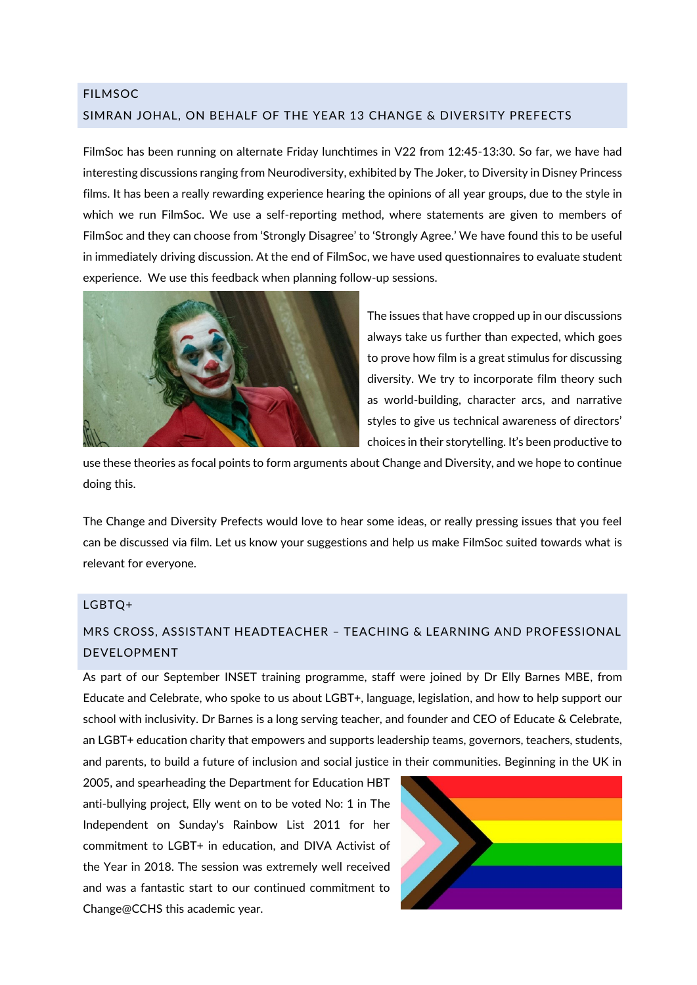## FILMSOC SIMRAN JOHAL, ON BEHALF OF THE YEAR 13 CHANGE & DIVERSITY PREFECTS

FilmSoc has been running on alternate Friday lunchtimes in V22 from 12:45-13:30. So far, we have had interesting discussions ranging from Neurodiversity, exhibited by The Joker, to Diversity in Disney Princess films. It has been a really rewarding experience hearing the opinions of all year groups, due to the style in which we run FilmSoc. We use a self-reporting method, where statements are given to members of FilmSoc and they can choose from 'Strongly Disagree' to 'Strongly Agree.' We have found this to be useful in immediately driving discussion. At the end of FilmSoc, we have used questionnaires to evaluate student experience. We use this feedback when planning follow-up sessions.



The issues that have cropped up in our discussions always take us further than expected, which goes to prove how film is a great stimulus for discussing diversity. We try to incorporate film theory such as world-building, character arcs, and narrative styles to give us technical awareness of directors' choices in their storytelling. It's been productive to

use these theories as focal points to form arguments about Change and Diversity, and we hope to continue doing this.

The Change and Diversity Prefects would love to hear some ideas, or really pressing issues that you feel can be discussed via film. Let us know your suggestions and help us make FilmSoc suited towards what is relevant for everyone.

### LGBTQ+

## MRS CROSS, ASSISTANT HEADTEACHER – TEACHING & LEARNING AND PROFESSIONAL DEVELOPMENT

As part of our September INSET training programme, staff were joined by Dr Elly Barnes MBE, from Educate and Celebrate, who spoke to us about LGBT+, language, legislation, and how to help support our school with inclusivity. Dr Barnes is a long serving teacher, and founder and CEO of Educate & Celebrate, an LGBT+ education charity that empowers and supports leadership teams, governors, teachers, students, and parents, to build a future of inclusion and social justice in their communities. Beginning in the UK in

2005, and spearheading the Department for Education HBT anti-bullying project, Elly went on to be voted No: 1 in The Independent on Sunday's Rainbow List 2011 for her commitment to LGBT+ in education, and DIVA Activist of the Year in 2018. The session was extremely well received and was a fantastic start to our continued commitment to Change@CCHS this academic year.

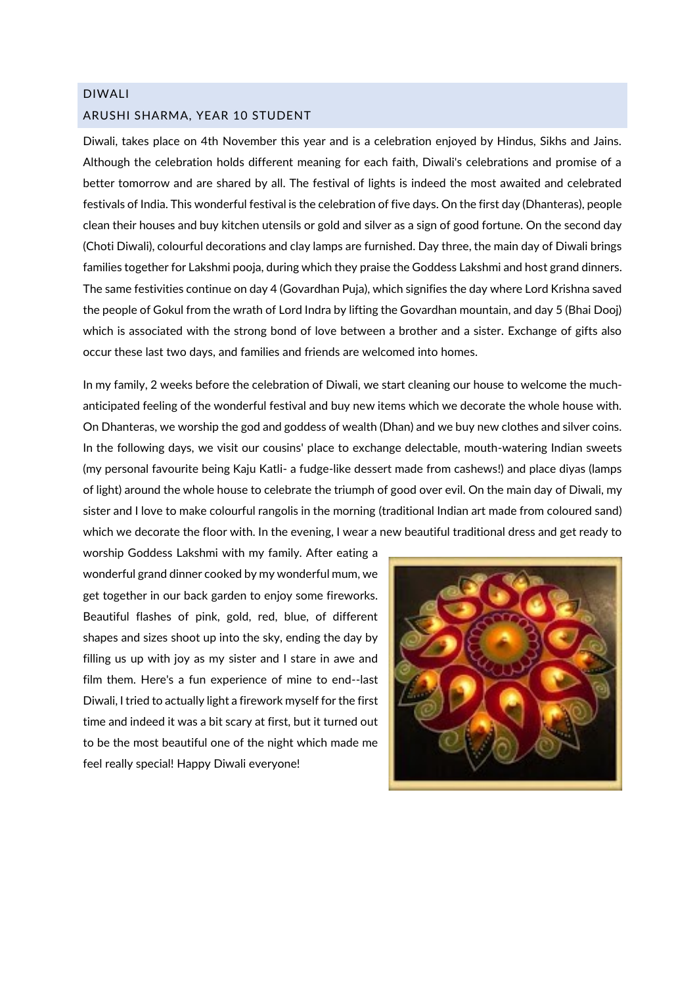## DIWALI ARUSHI SHARMA, YEAR 10 STUDENT

Diwali, takes place on 4th November this year and is a celebration enjoyed by Hindus, Sikhs and Jains. Although the celebration holds different meaning for each faith, Diwali's celebrations and promise of a better tomorrow and are shared by all. The festival of lights is indeed the most awaited and celebrated festivals of India. This wonderful festival is the celebration of five days. On the first day (Dhanteras), people clean their houses and buy kitchen utensils or gold and silver as a sign of good fortune. On the second day (Choti Diwali), colourful decorations and clay lamps are furnished. Day three, the main day of Diwali brings families together for Lakshmi pooja, during which they praise the Goddess Lakshmi and host grand dinners. The same festivities continue on day 4 (Govardhan Puja), which signifies the day where Lord Krishna saved the people of Gokul from the wrath of Lord Indra by lifting the Govardhan mountain, and day 5 (Bhai Dooj) which is associated with the strong bond of love between a brother and a sister. Exchange of gifts also occur these last two days, and families and friends are welcomed into homes.

In my family, 2 weeks before the celebration of Diwali, we start cleaning our house to welcome the muchanticipated feeling of the wonderful festival and buy new items which we decorate the whole house with. On Dhanteras, we worship the god and goddess of wealth (Dhan) and we buy new clothes and silver coins. In the following days, we visit our cousins' place to exchange delectable, mouth-watering Indian sweets (my personal favourite being Kaju Katli- a fudge-like dessert made from cashews!) and place diyas (lamps of light) around the whole house to celebrate the triumph of good over evil. On the main day of Diwali, my sister and I love to make colourful rangolis in the morning (traditional Indian art made from coloured sand) which we decorate the floor with. In the evening, I wear a new beautiful traditional dress and get ready to

worship Goddess Lakshmi with my family. After eating a wonderful grand dinner cooked by my wonderful mum, we get together in our back garden to enjoy some fireworks. Beautiful flashes of pink, gold, red, blue, of different shapes and sizes shoot up into the sky, ending the day by filling us up with joy as my sister and I stare in awe and film them. Here's a fun experience of mine to end--last Diwali, I tried to actually light a firework myself for the first time and indeed it was a bit scary at first, but it turned out to be the most beautiful one of the night which made me feel really special! Happy Diwali everyone!

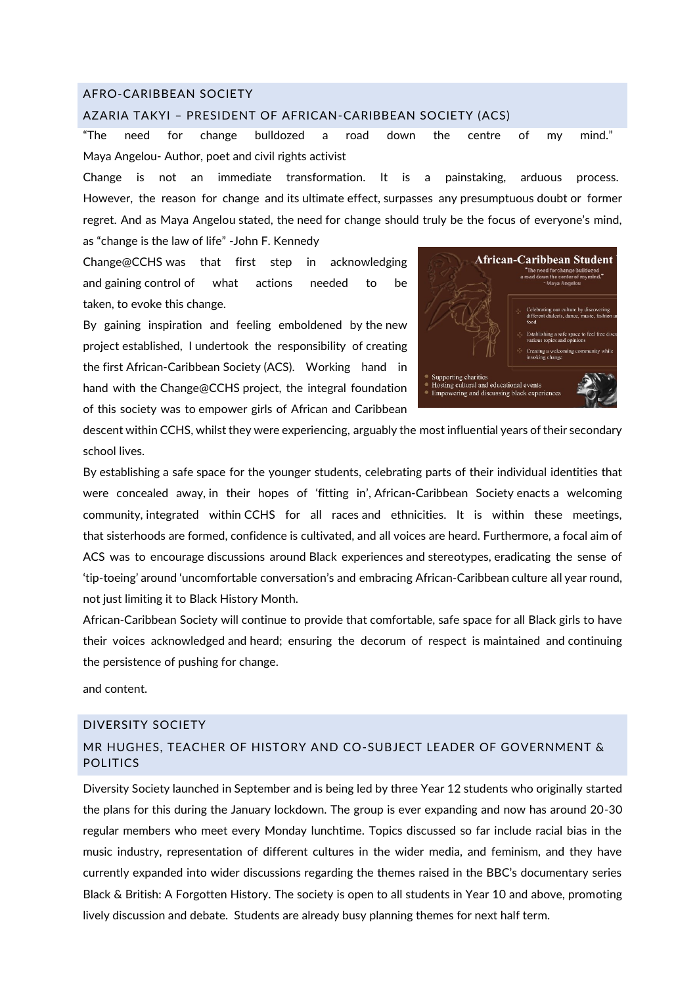#### AFRO-CARIBBEAN SOCIETY

#### AZARIA TAKYI – PRESIDENT OF AFRICAN-CARIBBEAN SOCIETY (ACS)

"The need for change bulldozed a road down the centre of my mind." Maya Angelou- Author, poet and civil rights activist

Change is not an immediate transformation. It is a painstaking, arduous process. However, the reason for change and its ultimate effect, surpasses any presumptuous doubt or former regret. And as Maya Angelou stated, the need for change should truly be the focus of everyone's mind, as "change is the law of life" -John F. Kennedy

Change@CCHS was that first step in acknowledging and gaining control of what actions needed to be taken, to evoke this change.

By gaining inspiration and feeling emboldened by the new project established, I undertook the responsibility of creating the first African-Caribbean Society (ACS). Working hand in hand with the Change@CCHS project, the integral foundation of this society was to empower girls of African and Caribbean



descent within CCHS, whilst they were experiencing, arguably the most influential years of their secondary school lives.

By establishing a safe space for the younger students, celebrating parts of their individual identities that were concealed away, in their hopes of 'fitting in', African-Caribbean Society enacts a welcoming community, integrated within CCHS for all races and ethnicities. It is within these meetings, that sisterhoods are formed, confidence is cultivated, and all voices are heard. Furthermore, a focal aim of ACS was to encourage discussions around Black experiences and stereotypes, eradicating the sense of 'tip-toeing' around 'uncomfortable conversation's and embracing African-Caribbean culture all year round, not just limiting it to Black History Month.

African-Caribbean Society will continue to provide that comfortable, safe space for all Black girls to have their voices acknowledged and heard; ensuring the decorum of respect is maintained and continuing the persistence of pushing for change.

and content.

#### DIVERSITY SOCIETY

## MR HUGHES, TEACHER OF HISTORY AND CO-SUBJECT LEADER OF GOVERNMENT & POLITICS

Diversity Society launched in September and is being led by three Year 12 students who originally started the plans for this during the January lockdown. The group is ever expanding and now has around 20-30 regular members who meet every Monday lunchtime. Topics discussed so far include racial bias in the music industry, representation of different cultures in the wider media, and feminism, and they have currently expanded into wider discussions regarding the themes raised in the BBC's documentary series Black & British: A Forgotten History. The society is open to all students in Year 10 and above, promoting lively discussion and debate. Students are already busy planning themes for next half term.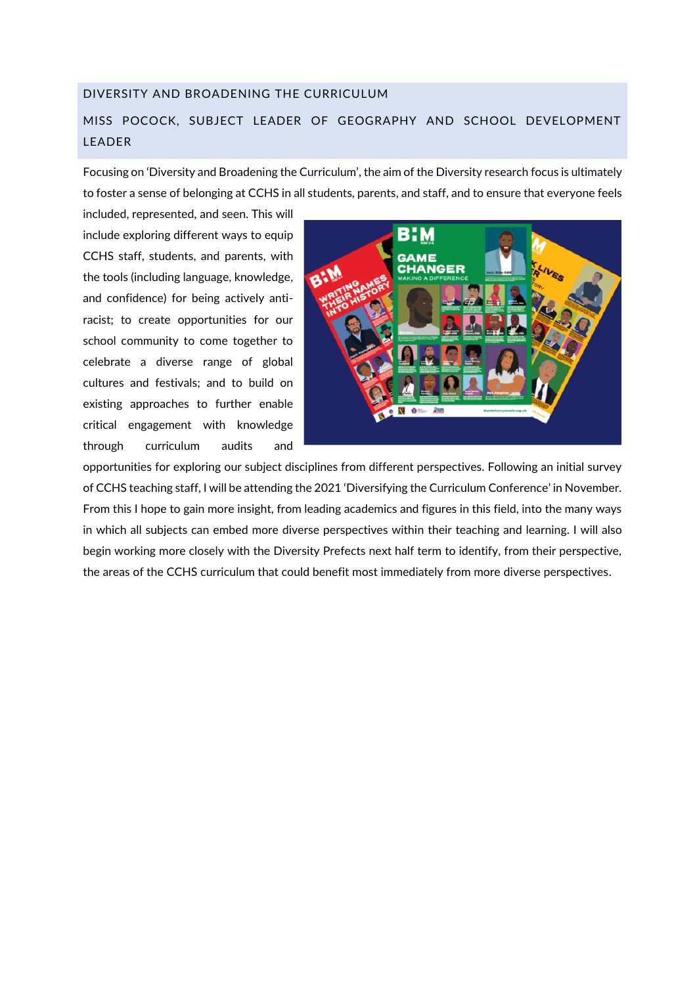#### DIVERSITY AND BROADENING THE CURRICULUM

## MISS POCOCK, SUBJECT LEADER OF GEOGRAPHY AND SCHOOL DEVELOPMENT LEADER

Focusing on 'Diversity and Broadening the Curriculum', the aim of the Diversity research focus is ultimately to foster a sense of belonging at CCHS in all students, parents, and staff, and to ensure that everyone feels

included, represented, and seen. This will include exploring different ways to equip CCHS staff, students, and parents, with the tools (including language, knowledge, and confidence) for being actively antiracist; to create opportunities for our school community to come together to celebrate a diverse range of global cultures and festivals; and to build on existing approaches to further enable critical engagement with knowledge through curriculum audits and



opportunities for exploring our subject disciplines from different perspectives. Following an initial survey of CCHS teaching staff, I will be attending the 2021 'Diversifying the Curriculum Conference' in November. From this I hope to gain more insight, from leading academics and figures in this field, into the many ways in which all subjects can embed more diverse perspectives within their teaching and learning. I will also begin working more closely with the Diversity Prefects next half term to identify, from their perspective, the areas of the CCHS curriculum that could benefit most immediately from more diverse perspectives.